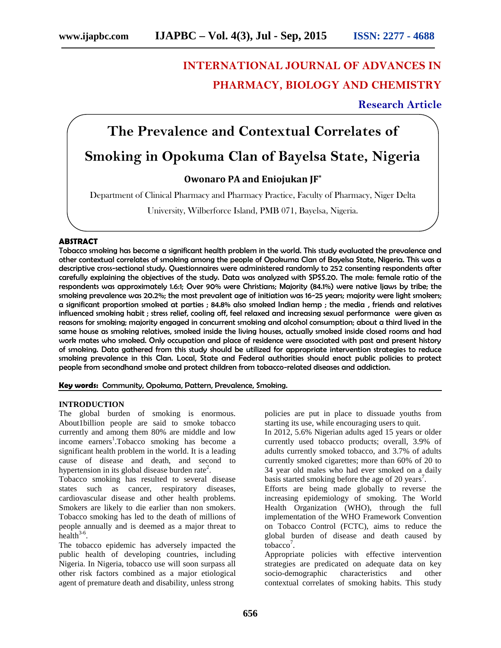# **INTERNATIONAL JOURNAL OF ADVANCES IN PHARMACY, BIOLOGY AND CHEMISTRY**

# **Research Article**

# **The Prevalence and Contextual Correlates of Smoking in Opokuma Clan of Bayelsa State, Nigeria**

# **Owonaro PA and Eniojukan JF\***

Department of Clinical Pharmacy and Pharmacy Practice, Faculty of Pharmacy, Niger Delta

University, Wilberforce Island, PMB 071, Bayelsa, Nigeria.

### **ABSTRACT**

Tobacco smoking has become a significant health problem in the world. This study evaluated the prevalence and other contextual correlates of smoking among the people of Opokuma Clan of Bayelsa State, Nigeria. This was a descriptive cross-sectional study. Questionnaires were administered randomly to 252 consenting respondents after carefully explaining the objectives of the study. Data was analyzed with SPSS.20. The male: female ratio of the respondents was approximately 1.6:1; Over 90% were Christians; Majority (84.1%) were native Ijaws by tribe; the smoking prevalence was 20.2%; the most prevalent age of initiation was 16-25 years; majority were light smokers; a significant proportion smoked at parties ; 84.8% also smoked Indian hemp ; the media , friends and relatives influenced smoking habit ; stress relief, cooling off, feel relaxed and increasing sexual performance were given as reasons for smoking; majority engaged in concurrent smoking and alcohol consumption; about a third lived in the same house as smoking relatives, smoked inside the living houses, actually smoked inside closed rooms and had work mates who smoked. Only occupation and place of residence were associated with past and present history of smoking. Data gathered from this study should be utilized for appropriate intervention strategies to reduce smoking prevalence in this Clan. Local, State and Federal authorities should enact public policies to protect people from secondhand smoke and protect children from tobacco-related diseases and addiction.

#### **Key words:** Community, Opokuma, Pattern, Prevalence, Smoking.

#### **INTRODUCTION**

The global burden of smoking is enormous. About1billion people are said to smoke tobacco currently and among them 80% are middle and low income earners<sup>1</sup>.Tobacco smoking has become a significant health problem in the world. It is a leading cause of disease and death, and second to hypertension in its global disease burden rate<sup>2</sup>.

Tobacco smoking has resulted to several disease states such as cancer, respiratory diseases, cardiovascular disease and other health problems. Smokers are likely to die earlier than non smokers. Tobacco smoking has led to the death of millions of people annually and is deemed as a major threat to  $health<sup>3-6</sup>$ .

The tobacco epidemic has adversely impacted the public health of developing countries, including Nigeria. In Nigeria, tobacco use will soon surpass all other risk factors combined as a major etiological agent of premature death and disability, unless strong

policies are put in place to dissuade youths from starting its use, while encouraging users to quit.

In 2012, 5.6% Nigerian adults aged 15 years or older currently used tobacco products; overall, 3.9% of adults currently smoked tobacco, and 3.7% of adults currently smoked cigarettes; more than 60% of 20 to 34 year old males who had ever smoked on a daily basis started smoking before the age of 20 years<sup>7</sup>.

Efforts are being made globally to reverse the increasing epidemiology of smoking. The World Health Organization (WHO), through the full implementation of the WHO Framework Convention on Tobacco Control (FCTC), aims to reduce the global burden of disease and death caused by  $\text{tobacco}^7$ .

Appropriate policies with effective intervention strategies are predicated on adequate data on key socio-demographic characteristics and other contextual correlates of smoking habits. This study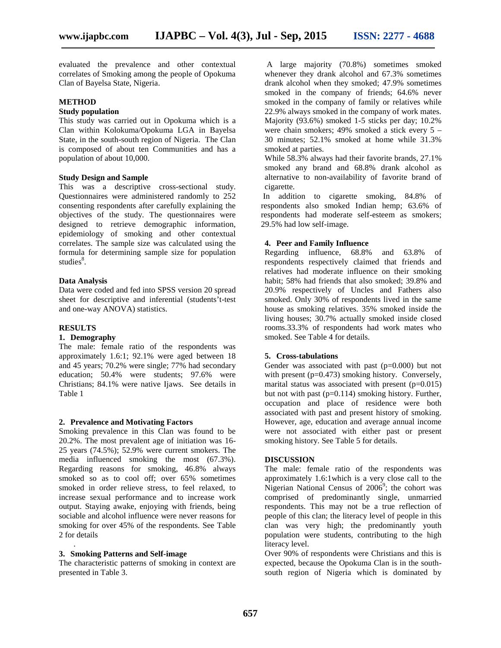evaluated the prevalence and other contextual correlates of Smoking among the people of Opokuma Clan of Bayelsa State, Nigeria.

# **METHOD**

## **Study population**

This study was carried out in Opokuma which is a Clan within Kolokuma/Opokuma LGA in Bayelsa State, in the south-south region of Nigeria. The Clan is composed of about ten Communities and has a population of about 10,000.

## **Study Design and Sample**

This was a descriptive cross-sectional study. Questionnaires were administered randomly to 252 consenting respondents after carefully explaining the objectives of the study. The questionnaires were designed to retrieve demographic information, epidemiology of smoking and other contextual correlates. The sample size was calculated using the formula for determining sample size for population studies<sup>8</sup>.

#### **Data Analysis**

Data were coded and fed into SPSS version 20 spread sheet for descriptive and inferential (students't-test and one-way ANOVA) statistics.

#### **RESULTS**

# **1. Demography**

The male: female ratio of the respondents was approximately 1.6:1; 92.1% were aged between 18 and 45 years; 70.2% were single; 77% had secondary education; 50.4% were students; 97.6% were Christians; 84.1% were native Ijaws. See details in Table 1

#### **2. Prevalence and Motivating Factors**

Smoking prevalence in this Clan was found to be 20.2%. The most prevalent age of initiation was 16- 25 years (74.5%); 52.9% were current smokers. The media influenced smoking the most (67.3%). Regarding reasons for smoking, 46.8% always smoked so as to cool off; over 65% sometimes smoked in order relieve stress, to feel relaxed, to increase sexual performance and to increase work output. Staying awake, enjoying with friends, being sociable and alcohol influence were never reasons for smoking for over 45% of the respondents. See Table 2 for details

# **3. Smoking Patterns and Self-image**

.

The characteristic patterns of smoking in context are presented in Table 3.

A large majority (70.8%) sometimes smoked whenever they drank alcohol and 67.3% sometimes drank alcohol when they smoked; 47.9% sometimes smoked in the company of friends; 64.6% never smoked in the company of family or relatives while 22.9% always smoked in the company of work mates. Majority (93.6%) smoked 1-5 sticks per day; 10.2% were chain smokers; 49% smoked a stick every 5 – 30 minutes; 52.1% smoked at home while 31.3% smoked at parties.

While 58.3% always had their favorite brands, 27.1% smoked any brand and 68.8% drank alcohol as alternative to non-availability of favorite brand of cigarette.

In addition to cigarette smoking, 84.8% of respondents also smoked Indian hemp; 63.6% of respondents had moderate self-esteem as smokers; 29.5% had low self-image.

# **4. Peer and Family Influence**

Regarding influence, 68.8% and 63.8% of respondents respectively claimed that friends and relatives had moderate influence on their smoking habit; 58% had friends that also smoked; 39.8% and 20.9% respectively of Uncles and Fathers also smoked. Only 30% of respondents lived in the same house as smoking relatives. 35% smoked inside the living houses; 30.7% actually smoked inside closed rooms.33.3% of respondents had work mates who smoked. See Table 4 for details.

#### **5. Cross-tabulations**

Gender was associated with past (p=0.000) but not with present (p=0.473) smoking history. Conversely, marital status was associated with present  $(p=0.015)$ but not with past  $(p=0.114)$  smoking history. Further, occupation and place of residence were both associated with past and present history of smoking. However, age, education and average annual income were not associated with either past or present smoking history. See Table 5 for details.

#### **DISCUSSION**

The male: female ratio of the respondents was approximately 1.6:1which is a very close call to the Nigerian National Census of  $2006^9$ ; the cohort was comprised of predominantly single, unmarried respondents. This may not be a true reflection of people of this clan; the literacy level of people in this clan was very high; the predominantly youth population were students, contributing to the high literacy level.

Over 90% of respondents were Christians and this is expected, because the Opokuma Clan is in the south south region of Nigeria which is dominated by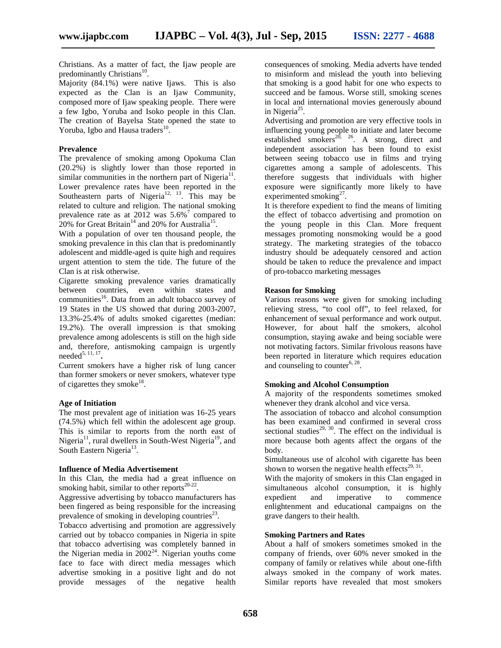Christians. As a matter of fact, the Ijaw people are predominantly Christians<sup>10</sup>. .

Majority (84.1%) were native Ijaws. This is also expected as the Clan is an Ijaw Community, composed more of Ijaw speaking people. There were a few Igbo, Yoruba and Isoko people in this Clan. The creation of Bayelsa State opened the state to Yoruba, Igbo and Hausa traders<sup>10</sup>.

# **Prevalence**

The prevalence of smoking among Opokuma Clan (20.2%) is slightly lower than those reported in similar communities in the northern part of Nigeria $^{11}$ . Lower prevalence rates have been reported in the Southeastern parts of Nigeria<sup>12, 13</sup>. This may be related to culture and religion. The national smoking prevalence rate as at 2012 was  $5.6\%$ <sup>7</sup> compared to 20% for Great Britain<sup>14</sup> and 20% for Australia<sup>15</sup>.

With a population of over ten thousand people, the smoking prevalence in this clan that is predominantly adolescent and middle-aged is quite high and requires urgent attention to stem the tide. The future of the Clan is at risk otherwise.

Cigarette smoking prevalence varies dramatically between countries, even within states and communities<sup>16</sup>. Data from an adult tobacco survey of 19 States in the US showed that during 2003-2007, 13.3%-25.4% of adults smoked cigarettes (median: 19.2%). The overall impression is that smoking prevalence among adolescents is still on the high side and, therefore, antismoking campaign is urgently needed5, 11, 17 **.**

Current smokers have a higher risk of lung cancer than former smokers or never smokers, whatever type of cigarettes they smoke<sup>18</sup>.

#### **Age of Initiation**

The most prevalent age of initiation was 16-25 years (74.5%) which fell within the adolescent age group. This is similar to reports from the north east of Nigeria<sup>11</sup>, rural dwellers in South-West Nigeria<sup>19</sup>, and South Eastern Nigeria<sup>13</sup>.

#### **Influence of Media Advertisement**

In this Clan, the media had a great influence on smoking habit, similar to other reports $20-22$ .

Aggressive advertising by tobacco manufacturers has been fingered as being responsible for the increasing prevalence of smoking in developing countries $^{23}$ .

Tobacco advertising and promotion are aggressively carried out by tobacco companies in Nigeria in spite that tobacco advertising was completely banned in the Nigerian media in  $2002^{24}$ . Nigerian youths come face to face with direct media messages which advertise smoking in a positive light and do not provide messages of the negative health consequences of smoking. Media adverts have tended to misinform and mislead the youth into believing that smoking is a good habit for one who expects to succeed and be famous. Worse still, smoking scenes in local and international movies generously abound in Nigeria<sup>25</sup>.

Advertising and promotion are very effective tools in influencing young people to initiate and later become established smokers<sup>20, 26</sup>. A strong, direct and independent association has been found to exist between seeing tobacco use in films and trying cigarettes among a sample of adolescents. This therefore suggests that individuals with higher exposure were significantly more likely to have experimented smoking $2^7$ .

It is therefore expedient to find the means of limiting the effect of tobacco advertising and promotion on the young people in this Clan. More frequent messages promoting nonsmoking would be a good strategy. The marketing strategies of the tobacco industry should be adequately censored and action should be taken to reduce the prevalence and impact of pro-tobacco marketing messages

#### **Reason for Smoking**

Various reasons were given for smoking including relieving stress, "to cool off", to feel relaxed, for enhancement of sexual performance and work output. However, for about half the smokers, alcohol consumption, staying awake and being sociable were not motivating factors. Similar frivolous reasons have been reported in literature which requires education and counseling to counter<sup>6, 28</sup>.

#### **Smoking and Alcohol Consumption**

A majority of the respondents sometimes smoked whenever they drank alcohol and vice versa.

The association of tobacco and alcohol consumption has been examined and confirmed in several cross sectional studies<sup>29, 30</sup>. The effect on the individual is more because both agents affect the organs of the body.

Simultaneous use of alcohol with cigarette has been shown to worsen the negative health effects<sup>29, 31</sup>.

With the majority of smokers in this Clan engaged in simultaneous alcohol consumption, it is highly expedient and imperative to commence enlightenment and educational campaigns on the grave dangers to their health.

## **Smoking Partners and Rates**

About a half of smokers sometimes smoked in the company of friends, over 60% never smoked in the company of family or relatives while about one-fifth always smoked in the company of work mates. Similar reports have revealed that most smokers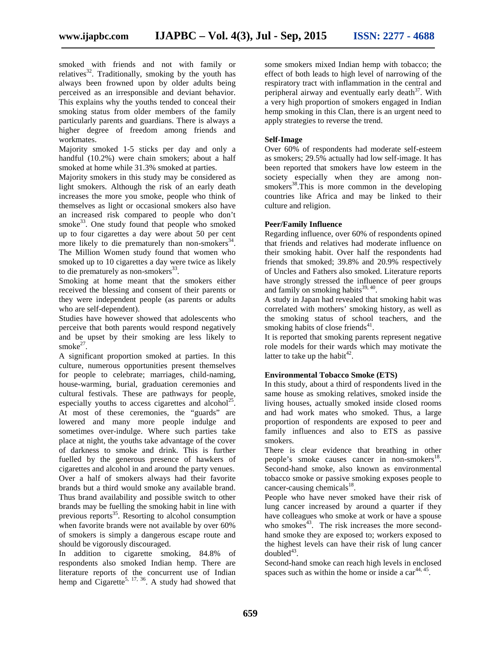smoked with friends and not with family or relatives<sup>32</sup>. Traditionally, smoking by the youth has always been frowned upon by older adults being perceived as an irresponsible and deviant behavior. This explains why the youths tended to conceal their smoking status from older members of the family particularly parents and guardians. There is always a higher degree of freedom among friends and workmates.

Majority smoked 1-5 sticks per day and only a handful (10.2%) were chain smokers; about a half smoked at home while 31.3% smoked at parties.

Majority smokers in this study may be considered as light smokers. Although the risk of an early death increases the more you smoke, people who think of themselves as light or occasional smokers also have an increased risk compared to people who don't smoke $33$ . One study found that people who smoked up to four cigarettes a day were about 50 per cent more likely to die prematurely than non-smokers<sup>34</sup>. The Million Women study found that women who smoked up to 10 cigarettes a day were twice as likely to die prematurely as non-smokers $^{33}$ .

Smoking at home meant that the smokers either received the blessing and consent of their parents or they were independent people (as parents or adults who are self-dependent).

Studies have however showed that adolescents who perceive that both parents would respond negatively and be upset by their smoking are less likely to smoke<sup>27</sup>.

A significant proportion smoked at parties. In this culture, numerous opportunities present themselves for people to celebrate; marriages, child-naming, house-warming, burial, graduation ceremonies and cultural festivals. These are pathways for people, especially youths to access cigarettes and alcohol<sup>25</sup>. At most of these ceremonies, the "guards" are lowered and many more people indulge and sometimes over-indulge. Where such parties take place at night, the youths take advantage of the cover of darkness to smoke and drink. This is further fuelled by the generous presence of hawkers of cigarettes and alcohol in and around the party venues. Over a half of smokers always had their favorite brands but a third would smoke any available brand. Thus brand availability and possible switch to other brands may be fuelling the smoking habit in line with previous reports $^{35}$ . Resorting to alcohol consumption when favorite brands were not available by over 60% of smokers is simply a dangerous escape route and should be vigorously discouraged.

In addition to cigarette smoking, 84.8% of respondents also smoked Indian hemp. There are literature reports of the concurrent use of Indian hemp and Cigarette<sup>5, 17, 36</sup>. A study had showed that

some smokers mixed Indian hemp with tobacco; the effect of both leads to high level of narrowing of the respiratory tract with inflammation in the central and peripheral airway and eventually early death<sup>37</sup>. With a very high proportion of smokers engaged in Indian hemp smoking in this Clan, there is an urgent need to apply strategies to reverse the trend.

### **Self-Image**

Over 60% of respondents had moderate self-esteem as smokers; 29.5% actually had low self-image. It has been reported that smokers have low esteem in the society especially when they are among non smokers<sup>38</sup>. This is more common in the developing countries like Africa and may be linked to their culture and religion.

#### **Peer/Family Influence**

Regarding influence, over 60% of respondents opined that friends and relatives had moderate influence on their smoking habit. Over half the respondents had friends that smoked; 39.8% and 20.9% respectively of Uncles and Fathers also smoked. Literature reports have strongly stressed the influence of peer groups and family on smoking habits $^{39,40}$ .

A study in Japan had revealed that smoking habit was correlated with mothers' smoking history, as well as the smoking status of school teachers, and the smoking habits of close friends $41$ .

It is reported that smoking parents represent negative role models for their wards which may motivate the latter to take up the habit<sup>42</sup>.

#### **Environmental Tobacco Smoke (ETS)**

In this study, about a third of respondents lived in the same house as smoking relatives, smoked inside the living houses, actually smoked inside closed rooms and had work mates who smoked. Thus, a large proportion of respondents are exposed to peer and family influences and also to ETS as passive smokers.

There is clear evidence that breathing in other people's smoke causes cancer in non-smokers<sup>18</sup>. Second-hand smoke, also known as environmental tobacco smoke or passive smoking exposes people to cancer-causing chemicals $^{18}$ .

People who have never smoked have their risk of lung cancer increased by around a quarter if they have colleagues who smoke at work or have a spouse who smokes $43$ . The risk increases the more secondhand smoke they are exposed to; workers exposed to the highest levels can have their risk of lung cancer  $doubled<sup>43</sup>$ .

Second-hand smoke can reach high levels in enclosed spaces such as within the home or inside a  $car<sup>44, 45</sup>$ .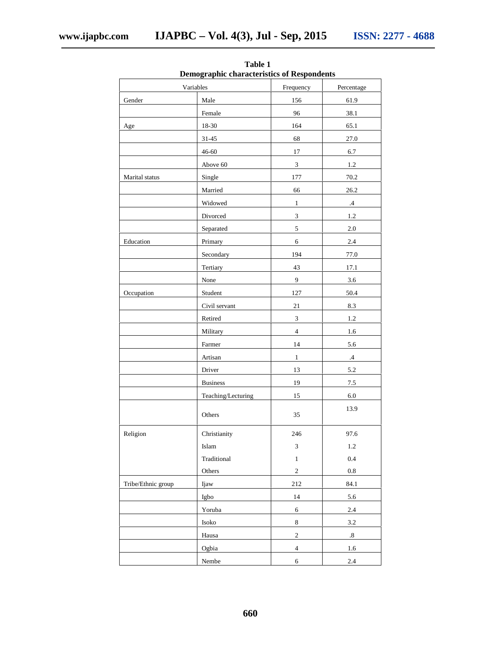| Demographic characteristics of Respondents |                        |                             |                   |  |  |  |
|--------------------------------------------|------------------------|-----------------------------|-------------------|--|--|--|
|                                            | Variables              | Frequency                   | Percentage        |  |  |  |
| Gender                                     | Male                   | 156                         | 61.9              |  |  |  |
|                                            | Female                 | 96                          | 38.1              |  |  |  |
| Age                                        | 18-30                  | 164                         | 65.1              |  |  |  |
|                                            | $31 - 45$              | 68                          | 27.0              |  |  |  |
|                                            | 46-60                  | $17\,$                      | 6.7               |  |  |  |
|                                            | Above 60               | $\ensuremath{\mathbf{3}}$   | $1.2\,$           |  |  |  |
| Marital status                             | Single                 | 177                         | 70.2              |  |  |  |
|                                            | Married                | 66                          | 26.2              |  |  |  |
|                                            | Widowed                | $\mathbf{1}$                | $.4\phantom{0}$   |  |  |  |
|                                            | Divorced               | $\overline{3}$              | 1.2               |  |  |  |
|                                            | Separated              | $\sqrt{5}$                  | $2.0\,$           |  |  |  |
| Education                                  | Primary                | 6                           | 2.4               |  |  |  |
|                                            | Secondary              | 194                         | 77.0              |  |  |  |
|                                            | Tertiary               | 43                          | 17.1              |  |  |  |
|                                            | None                   | 9                           | 3.6               |  |  |  |
| Occupation                                 | Student                | 127                         | 50.4              |  |  |  |
|                                            | Civil servant          | 21                          | 8.3               |  |  |  |
|                                            | Retired                | $\ensuremath{\mathfrak{Z}}$ | $1.2\,$           |  |  |  |
|                                            | Military               | $\overline{4}$              | 1.6               |  |  |  |
|                                            | Farmer                 | 14                          | 5.6               |  |  |  |
|                                            | Artisan                | $\mathbf{1}$                | $\mathcal{A}$     |  |  |  |
|                                            | Driver                 | 13                          | 5.2               |  |  |  |
|                                            | <b>Business</b>        | 19                          | 7.5               |  |  |  |
|                                            | Teaching/Lecturing     | 15                          | $6.0\,$           |  |  |  |
|                                            | Others                 | 35                          | 13.9              |  |  |  |
| Religion                                   | Christianity           | 246                         | 97.6              |  |  |  |
|                                            | Islam                  | $\ensuremath{\mathfrak{Z}}$ | 1.2               |  |  |  |
|                                            | Traditional            | $\,1\,$                     | $0.4\,$           |  |  |  |
|                                            | Others                 | $\sqrt{2}$                  | 0.8               |  |  |  |
| Tribe/Ethnic group                         | Ijaw                   | 212                         | 84.1              |  |  |  |
|                                            | Igbo                   | 14                          | 5.6               |  |  |  |
|                                            | Yoruba                 | 6                           | $2.4\,$           |  |  |  |
|                                            | $\operatorname{Isoko}$ | $\,8\,$                     | $3.2\,$           |  |  |  |
|                                            | Hausa                  | $\sqrt{2}$                  | $\boldsymbol{.8}$ |  |  |  |
|                                            | Ogbia                  | $\overline{4}$              | 1.6               |  |  |  |
|                                            | Nembe                  | $\sqrt{6}$                  | $2.4\,$           |  |  |  |

**Table 1 Demographic characteristics of Respondents**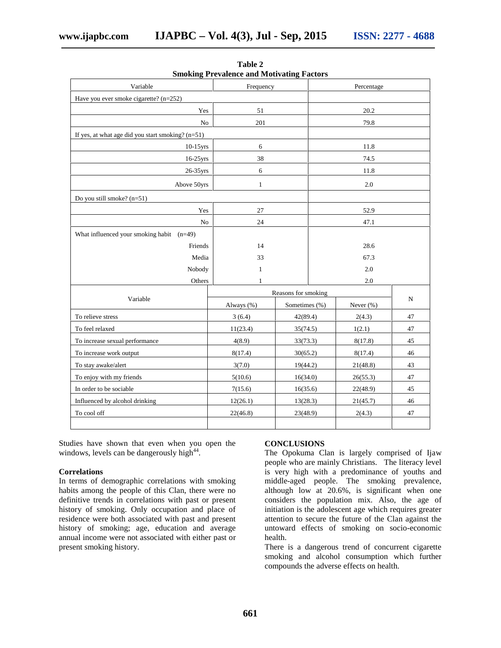| Variable                                            | Frequency    |                     | Percentage           |               |    |  |
|-----------------------------------------------------|--------------|---------------------|----------------------|---------------|----|--|
| Have you ever smoke cigarette? $(n=252)$            |              |                     |                      |               |    |  |
| Yes                                                 | 51           |                     |                      | 20.2          |    |  |
| No                                                  | 201          |                     |                      | 79.8          |    |  |
| If yes, at what age did you start smoking? $(n=51)$ |              |                     |                      |               |    |  |
| $10-15$ yrs                                         | 6            |                     |                      | 11.8          |    |  |
| 16-25yrs                                            | 38           |                     | 74.5                 |               |    |  |
| 26-35yrs                                            | 6            |                     | 11.8                 |               |    |  |
| Above 50yrs                                         | $\mathbf{1}$ |                     |                      | 2.0           |    |  |
| Do you still smoke? (n=51)                          |              |                     |                      |               |    |  |
| Yes                                                 | 27           |                     | 52.9                 |               |    |  |
| N <sub>o</sub>                                      | 24           |                     | 47.1                 |               |    |  |
| What influenced your smoking habit (n=49)           |              |                     |                      |               |    |  |
| Friends                                             | 14           |                     |                      | 28.6          |    |  |
| Media                                               | 33           |                     |                      | 67.3          |    |  |
| Nobody                                              | 1            |                     |                      | 2.0           |    |  |
| Others                                              | 1            | 2.0                 |                      |               |    |  |
| Variable                                            |              | Reasons for smoking |                      | N             |    |  |
|                                                     | Always (%)   | Sometimes (%)       |                      | Never $(\% )$ |    |  |
| To relieve stress                                   | 3(6.4)       | 42(89.4)            |                      | 2(4.3)        | 47 |  |
| To feel relaxed                                     | 11(23.4)     | 35(74.5)            |                      | 1(2.1)        | 47 |  |
| To increase sexual performance                      | 4(8.9)       | 33(73.3)            |                      | 8(17.8)       | 45 |  |
| To increase work output                             | 8(17.4)      | 30(65.2)            |                      | 8(17.4)       |    |  |
| To stay awake/alert                                 | 3(7.0)       | 19(44.2)            |                      | 21(48.8)      |    |  |
| To enjoy with my friends                            | 5(10.6)      |                     | 16(34.0)<br>26(55.3) |               | 47 |  |
| In order to be sociable                             | 7(15.6)      |                     | 16(35.6)<br>22(48.9) |               | 45 |  |
| Influenced by alcohol drinking                      | 12(26.1)     | 13(28.3)            |                      | 21(45.7)      |    |  |
| To cool off                                         | 22(46.8)     | 23(48.9)            |                      | 2(4.3)        | 47 |  |
|                                                     |              |                     |                      |               |    |  |

**Table 2 Smoking Prevalence and Motivating Factors**

Studies have shown that even when you open the windows, levels can be dangerously high<sup>44</sup>.

## **Correlations**

In terms of demographic correlations with smoking habits among the people of this Clan, there were no definitive trends in correlations with past or present history of smoking. Only occupation and place of residence were both associated with past and present history of smoking; age, education and average annual income were not associated with either past or present smoking history.

#### **CONCLUSIONS**

The Opokuma Clan is largely comprised of Ijaw people who are mainly Christians. The literacy level is very high with a predominance of youths and middle-aged people. The smoking prevalence, although low at 20.6%, is significant when one considers the population mix. Also, the age of initiation is the adolescent age which requires greater attention to secure the future of the Clan against the untoward effects of smoking on socio-economic health.

There is a dangerous trend of concurrent cigarette smoking and alcohol consumption which further compounds the adverse effects on health.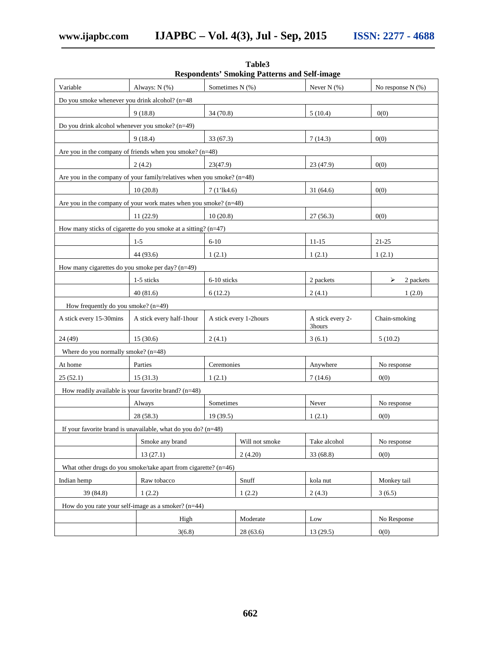|                                                    |                                                                          |                        | Respondents' Smoking Patterns and Self-image |                            |                   |  |
|----------------------------------------------------|--------------------------------------------------------------------------|------------------------|----------------------------------------------|----------------------------|-------------------|--|
| Variable                                           | Always: N (%)                                                            | Sometimes N (%)        |                                              | Never $N$ $(\%)$           | No response N (%) |  |
| Do you smoke whenever you drink alcohol? (n=48     |                                                                          |                        |                                              |                            |                   |  |
|                                                    | 9(18.8)<br>34(70.8)                                                      |                        |                                              | 5(10.4)                    | 0(0)              |  |
| Do you drink alcohol whenever you smoke? $(n=49)$  |                                                                          |                        |                                              |                            |                   |  |
|                                                    | 9(18.4)<br>33(67.3)                                                      |                        |                                              | 7(14.3)                    | 0(0)              |  |
|                                                    | Are you in the company of friends when you smoke? $(n=48)$               |                        |                                              |                            |                   |  |
|                                                    | 2(4.2)                                                                   | 23(47.9)               |                                              | 23 (47.9)                  | 0(0)              |  |
|                                                    | Are you in the company of your family/relatives when you smoke? $(n=48)$ |                        |                                              |                            |                   |  |
|                                                    | 10(20.8)                                                                 | $7(1'$ lk4.6)          |                                              | 31(64.6)                   | 0(0)              |  |
|                                                    | Are you in the company of your work mates when you smoke? (n=48)         |                        |                                              |                            |                   |  |
|                                                    | 11(22.9)                                                                 | 10(20.8)               |                                              | 27(56.3)                   | 0(0)              |  |
|                                                    | How many sticks of cigarette do you smoke at a sitting? $(n=47)$         |                        |                                              |                            |                   |  |
|                                                    | $1 - 5$                                                                  | $6 - 10$               |                                              | $11 - 15$                  | $21 - 25$         |  |
|                                                    | 44 (93.6)                                                                | 1(2.1)                 |                                              | 1(2.1)                     | 1(2.1)            |  |
| How many cigarettes do you smoke per day? $(n=49)$ |                                                                          |                        |                                              |                            |                   |  |
|                                                    | 1-5 sticks                                                               | 6-10 sticks            |                                              | 2 packets                  | 2 packets<br>⋗    |  |
|                                                    | 40(81.6)                                                                 | 6(12.2)                |                                              | 2(4.1)                     | 1(2.0)            |  |
| How frequently do you smoke? (n=49)                |                                                                          |                        |                                              |                            |                   |  |
| A stick every 15-30mins                            | A stick every half-1 hour                                                | A stick every 1-2hours |                                              | A stick every 2-<br>3hours | Chain-smoking     |  |
| 24 (49)                                            | 15(30.6)<br>2(4.1)                                                       |                        |                                              | 3(6.1)                     | 5(10.2)           |  |
| Where do you normally smoke? $(n=48)$              |                                                                          |                        |                                              |                            |                   |  |
| At home                                            | Parties                                                                  | Ceremonies             |                                              | Anywhere                   | No response       |  |
| 25 (52.1)                                          | 15(31.3)                                                                 | 1(2.1)                 |                                              | 7(14.6)                    | 0(0)              |  |
|                                                    | How readily available is your favorite brand? $(n=48)$                   |                        |                                              |                            |                   |  |
|                                                    | Always                                                                   | Sometimes              |                                              | Never                      | No response       |  |
|                                                    | 28 (58.3)                                                                | 19(39.5)               |                                              | 1(2.1)                     | 0(0)              |  |
|                                                    | If your favorite brand is unavailable, what do you do? $(n=48)$          |                        |                                              |                            |                   |  |
| Smoke any brand                                    |                                                                          | Will not smoke         | Take alcohol                                 | No response                |                   |  |
|                                                    | 13(27.1)                                                                 |                        |                                              | 33 (68.8)                  | 0(0)              |  |
|                                                    | What other drugs do you smoke/take apart from cigarette? (n=46)          |                        |                                              |                            |                   |  |
| Indian hemp                                        | Raw tobacco                                                              |                        |                                              | kola nut                   | Monkey tail       |  |
| 39 (84.8)                                          | 1(2.2)                                                                   |                        | 1(2.2)                                       | 2(4.3)                     | 3(6.5)            |  |
|                                                    | How do you rate your self-image as a smoker? $(n=44)$                    |                        |                                              |                            |                   |  |
|                                                    | High                                                                     |                        | Moderate                                     | Low                        | No Response       |  |
|                                                    | 3(6.8)                                                                   |                        | 28(63.6)                                     | 13(29.5)                   | 0(0)              |  |

**Table3 Respondents' Smoking Patterns and Self-image**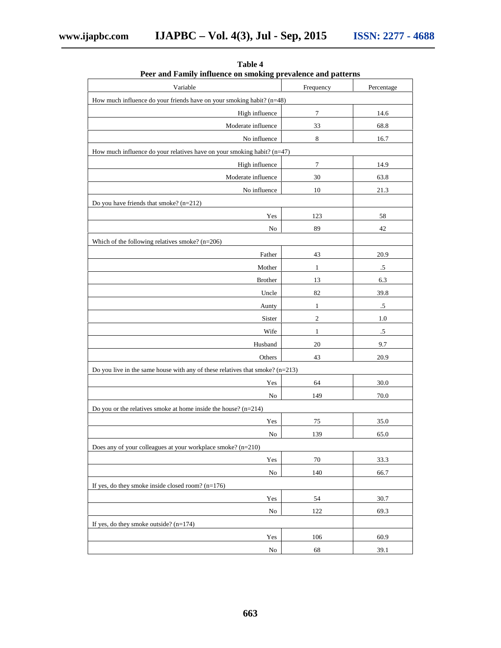| I cel and Panilly influence on sinoking prevalence and patterns                 |              |            |  |  |  |  |
|---------------------------------------------------------------------------------|--------------|------------|--|--|--|--|
| Variable                                                                        | Frequency    | Percentage |  |  |  |  |
| How much influence do your friends have on your smoking habit? (n=48)           |              |            |  |  |  |  |
| High influence                                                                  | $\tau$       | 14.6       |  |  |  |  |
| Moderate influence                                                              | 33           | 68.8       |  |  |  |  |
| No influence                                                                    | $\,8\,$      | 16.7       |  |  |  |  |
| How much influence do your relatives have on your smoking habit? (n=47)         |              |            |  |  |  |  |
| High influence                                                                  | $\tau$       | 14.9       |  |  |  |  |
| Moderate influence                                                              | 30           | 63.8       |  |  |  |  |
| No influence                                                                    | 10           | 21.3       |  |  |  |  |
| Do you have friends that smoke? (n=212)                                         |              |            |  |  |  |  |
| Yes                                                                             | 123          | 58         |  |  |  |  |
| $\rm No$                                                                        | 89           | 42         |  |  |  |  |
| Which of the following relatives smoke? $(n=206)$                               |              |            |  |  |  |  |
| Father                                                                          | 43           | 20.9       |  |  |  |  |
| Mother                                                                          | $\mathbf{1}$ | $.5\,$     |  |  |  |  |
| <b>Brother</b>                                                                  | 13           | 6.3        |  |  |  |  |
| Uncle                                                                           | 82           | 39.8       |  |  |  |  |
| Aunty                                                                           | $\mathbf{1}$ | $.5\,$     |  |  |  |  |
| Sister                                                                          | 2            | $1.0\,$    |  |  |  |  |
| Wife                                                                            | $\mathbf{1}$ | $.5\,$     |  |  |  |  |
| Husband                                                                         | $20\,$       | 9.7        |  |  |  |  |
| Others                                                                          | 43           | 20.9       |  |  |  |  |
| Do you live in the same house with any of these relatives that smoke? $(n=213)$ |              |            |  |  |  |  |
|                                                                                 |              |            |  |  |  |  |
| Yes                                                                             | 64           | 30.0       |  |  |  |  |
| No                                                                              | 149          | 70.0       |  |  |  |  |
| Do you or the relatives smoke at home inside the house? $(n=214)$               |              |            |  |  |  |  |
| Yes                                                                             | 75           | 35.0       |  |  |  |  |
| No                                                                              | 139          | 65.0       |  |  |  |  |
| Does any of your colleagues at your workplace smoke? (n=210)                    |              |            |  |  |  |  |
| Yes                                                                             | $70\,$       | 33.3       |  |  |  |  |
| $\rm No$                                                                        | 140          | 66.7       |  |  |  |  |
| If yes, do they smoke inside closed room? $(n=176)$                             |              |            |  |  |  |  |
| Yes                                                                             | 54           | 30.7       |  |  |  |  |
| ${\rm No}$                                                                      | 122          | 69.3       |  |  |  |  |
| If yes, do they smoke outside? $(n=174)$                                        |              |            |  |  |  |  |
| Yes                                                                             | 106          | 60.9       |  |  |  |  |
| $\rm No$                                                                        | 68           | 39.1       |  |  |  |  |

**Table 4 Peer and Family influence on smoking prevalence and patterns**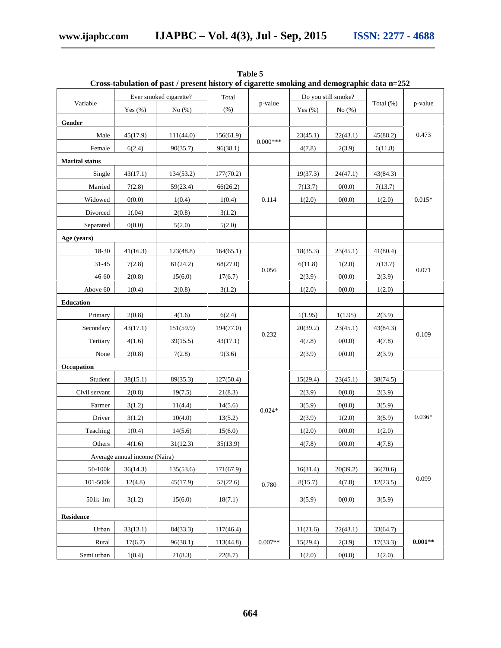|                       |                               | Cross-tabulation of past / present mstory or eigarette smoking and demographic data n=232 |           |            |                     |           |              |           |
|-----------------------|-------------------------------|-------------------------------------------------------------------------------------------|-----------|------------|---------------------|-----------|--------------|-----------|
|                       |                               | Ever smoked cigarette?                                                                    | Total     |            | Do you still smoke? |           |              |           |
| Variable              | Yes $(\% )$                   | No(%)                                                                                     | $(\% )$   | p-value    | Yes $(\% )$         | No $(\%)$ | Total $(\%)$ | p-value   |
| Gender                |                               |                                                                                           |           |            |                     |           |              |           |
| Male                  | 45(17.9)                      | 111(44.0)                                                                                 | 156(61.9) | $0.000***$ | 23(45.1)            | 22(43.1)  | 45(88.2)     | 0.473     |
| Female                | 6(2.4)                        | 90(35.7)                                                                                  | 96(38.1)  |            | 4(7.8)              | 2(3.9)    | 6(11.8)      |           |
| <b>Marital</b> status |                               |                                                                                           |           |            |                     |           |              |           |
| Single                | 43(17.1)                      | 134(53.2)                                                                                 | 177(70.2) |            | 19(37.3)            | 24(47.1)  | 43(84.3)     | $0.015*$  |
| Married               | 7(2.8)                        | 59(23.4)                                                                                  | 66(26.2)  |            | 7(13.7)             | 0(0.0)    | 7(13.7)      |           |
| Widowed               | 0(0.0)                        | 1(0.4)                                                                                    | 1(0.4)    | 0.114      | 1(2.0)              | 0(0.0)    | 1(2.0)       |           |
| Divorced              | 1(.04)                        | 2(0.8)                                                                                    | 3(1.2)    |            |                     |           |              |           |
| Separated             | 0(0.0)                        | 5(2.0)                                                                                    | 5(2.0)    |            |                     |           |              |           |
| Age (years)           |                               |                                                                                           |           |            |                     |           |              |           |
| 18-30                 | 41(16.3)                      | 123(48.8)                                                                                 | 164(65.1) |            | 18(35.3)            | 23(45.1)  | 41(80.4)     | 0.071     |
| 31-45                 | 7(2.8)                        | 61(24.2)                                                                                  | 68(27.0)  |            | 6(11.8)             | 1(2.0)    | 7(13.7)      |           |
| 46-60                 | 2(0.8)                        | 15(6.0)                                                                                   | 17(6.7)   | 0.056      | 2(3.9)              | 0(0.0)    | 2(3.9)       |           |
| Above 60              | 1(0.4)                        | 2(0.8)                                                                                    | 3(1.2)    |            | 1(2.0)              | 0(0.0)    | 1(2.0)       |           |
| Education             |                               |                                                                                           |           |            |                     |           |              |           |
| Primary               | 2(0.8)                        | 4(1.6)                                                                                    | 6(2.4)    |            | 1(1.95)             | 1(1.95)   | 2(3.9)       | 0.109     |
| Secondary             | 43(17.1)                      | 151(59.9)                                                                                 | 194(77.0) |            | 20(39.2)            | 23(45.1)  | 43(84.3)     |           |
| Tertiary              | 4(1.6)                        | 39(15.5)                                                                                  | 43(17.1)  | 0.232      | 4(7.8)              | 0(0.0)    | 4(7.8)       |           |
| None                  | 2(0.8)                        | 7(2.8)                                                                                    | 9(3.6)    |            | 2(3.9)              | 0(0.0)    | 2(3.9)       |           |
| Occupation            |                               |                                                                                           |           |            |                     |           |              |           |
| Student               | 38(15.1)                      | 89(35.3)                                                                                  | 127(50.4) |            | 15(29.4)            | 23(45.1)  | 38(74.5)     | $0.036*$  |
| Civil servant         | 2(0.8)                        | 19(7.5)                                                                                   | 21(8.3)   |            | 2(3.9)              | 0(0.0)    | 2(3.9)       |           |
| Farmer                | 3(1.2)                        | 11(4.4)                                                                                   | 14(5.6)   | $0.024*$   | 3(5.9)              | 0(0.0)    | 3(5.9)       |           |
| Driver                | 3(1.2)                        | 10(4.0)                                                                                   | 13(5.2)   |            | 2(3.9)              | 1(2.0)    | 3(5.9)       |           |
| Teaching              | 1(0.4)                        | 14(5.6)                                                                                   | 15(6.0)   |            | 1(2.0)              | 0(0.0)    | 1(2.0)       |           |
| Others                | 4(1.6)                        | 31(12.3)                                                                                  | 35(13.9)  |            | 4(7.8)              | 0(0.0)    | 4(7.8)       |           |
|                       | Average annual income (Naira) |                                                                                           |           |            |                     |           |              |           |
| 50-100k               | 36(14.3)                      | 135(53.6)                                                                                 | 171(67.9) |            | 16(31.4)            | 20(39.2)  | 36(70.6)     |           |
| 101-500k              | 12(4.8)                       | 45(17.9)                                                                                  | 57(22.6)  | 0.780      | 8(15.7)             | 4(7.8)    | 12(23.5)     | 0.099     |
| $501k-1m$             | 3(1.2)                        | 15(6.0)                                                                                   | 18(7.1)   |            | 3(5.9)              | 0(0.0)    | 3(5.9)       |           |
| <b>Residence</b>      |                               |                                                                                           |           |            |                     |           |              |           |
| Urban                 | 33(13.1)                      | 84(33.3)                                                                                  | 117(46.4) |            | 11(21.6)            | 22(43.1)  | 33(64.7)     |           |
| Rural                 | 17(6.7)                       | 96(38.1)                                                                                  | 113(44.8) | $0.007**$  | 15(29.4)            | 2(3.9)    | 17(33.3)     | $0.001**$ |
| Semi urban            | 1(0.4)                        | 21(8.3)                                                                                   | 22(8.7)   |            | 1(2.0)              | 0(0.0)    | 1(2.0)       |           |

**Table 5 Cross-tabulation of past / present history of cigarette smoking and demographic data n=252**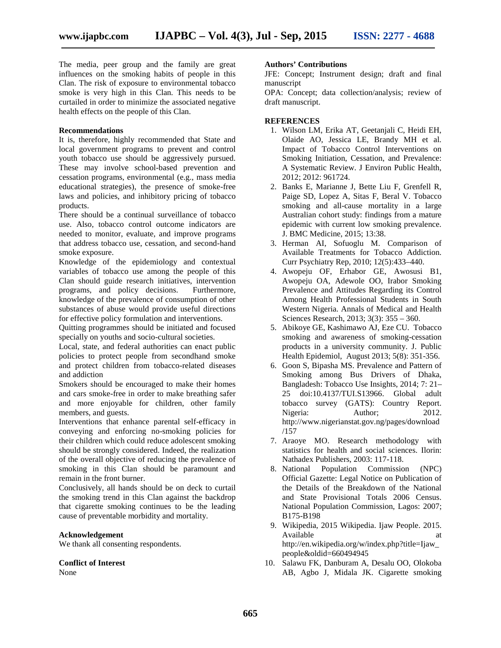The media, peer group and the family are great influences on the smoking habits of people in this Clan. The risk of exposure to environmental tobacco smoke is very high in this Clan. This needs to be curtailed in order to minimize the associated negative health effects on the people of this Clan.

#### **Recommendations**

It is, therefore, highly recommended that State and local government programs to prevent and control youth tobacco use should be aggressively pursued. These may involve school-based prevention and cessation programs, environmental (e.g., mass media educational strategies), the presence of smoke-free laws and policies, and inhibitory pricing of tobacco products.

There should be a continual surveillance of tobacco use. Also, tobacco control outcome indicators are needed to monitor, evaluate, and improve programs that address tobacco use, cessation, and second-hand smoke exposure.

Knowledge of the epidemiology and contextual variables of tobacco use among the people of this Clan should guide research initiatives, intervention programs, and policy decisions. Furthermore, knowledge of the prevalence of consumption of other substances of abuse would provide useful directions for effective policy formulation and interventions.

Quitting programmes should be initiated and focused specially on youths and socio-cultural societies.

Local, state, and federal authorities can enact public policies to protect people from secondhand smoke and protect children from tobacco-related diseases and addiction

Smokers should be encouraged to make their homes and cars smoke-free in order to make breathing safer and more enjoyable for children, other family members, and guests.

Interventions that enhance parental self-efficacy in conveying and enforcing no-smoking policies for their children which could reduce adolescent smoking should be strongly considered. Indeed, the realization of the overall objective of reducing the prevalence of smoking in this Clan should be paramount and remain in the front burner.

Conclusively, all hands should be on deck to curtail the smoking trend in this Clan against the backdrop that cigarette smoking continues to be the leading cause of preventable morbidity and mortality.

#### **Acknowledgement**

We thank all consenting respondents.

## **Conflict of Interest**

None

#### **Authors' Contributions**

JFE: Concept; Instrument design; draft and final manuscript

OPA: Concept; data collection/analysis; review of draft manuscript.

#### **REFERENCES**

- 1. Wilson LM, Erika AT, Geetanjali C, Heidi EH, Olaide AO, Jessica LE, Brandy MH et al. Impact of Tobacco Control Interventions on Smoking Initiation, Cessation, and Prevalence: A Systematic Review. J Environ Public Health, 2012; 2012: 961724.
- 2. Banks E, Marianne J, Bette Liu F, Grenfell R, Paige SD, Lopez A, Sitas F, Beral V. Tobacco smoking and all-cause mortality in a large Australian cohort study: findings from a mature epidemic with current low smoking prevalence. J. BMC Medicine, 2015; 13:38.
- 3. Herman AI, Sofuoglu M. Comparison of Available Treatments for Tobacco Addiction. Curr Psychiatry Rep, 2010; 12(5):433–440.
- 4. Awopeju OF, Erhabor GE, Awosusi B1, Awopeju OA, Adewole OO, Irabor Smoking Prevalence and Attitudes Regarding its Control Among Health Professional Students in South Western Nigeria. Annals of Medical and Health Sciences Research, 2013; 3(3): 355 – 360.
- 5. Abikoye GE, Kashimawo AJ, Eze CU. Tobacco smoking and awareness of smoking-cessation products in a university community. J. Public Health Epidemiol, August 2013; 5(8): 351-356.
- 6. Goon S, Bipasha MS. Prevalence and Pattern of Smoking among Bus Drivers of Dhaka, Bangladesh: Tobacco Use Insights, 2014; 7: 21– 25 doi:10.4137/TUI.S13966. Global adult tobacco survey (GATS): Country Report. Nigeria: Author; 2012. http://www.nigerianstat.gov.ng/pages/download /157
- 7. Araoye MO. Research methodology with statistics for health and social sciences. Ilorin: Nathadex Publishers, 2003: 117-118.
- 8. National Population Commission (NPC) Official Gazette: Legal Notice on Publication of the Details of the Breakdown of the National and State Provisional Totals 2006 Census. National Population Commission, Lagos: 2007; B175-B198
- 9. Wikipedia, 2015 Wikipedia. Ijaw People. 2015. Available at a state at the state at a state at a state at a state at a state at a state at a state at a state  $\alpha$ http://en.wikipedia.org/w/index.php?title=Ijaw\_ people&oldid=660494945
- 10. Salawu FK, Danburam A, Desalu OO, Olokoba AB, Agbo J, Midala JK. Cigarette smoking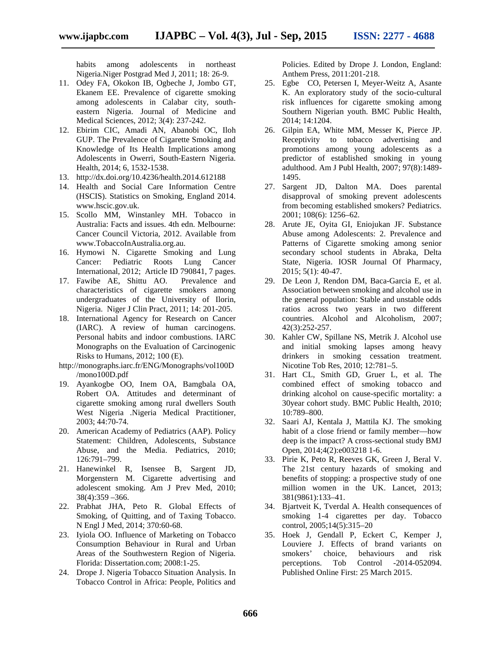habits among adolescents in northeast Nigeria.Niger Postgrad Med J, 2011; 18: 26-9.

- 11. Odey FA, Okokon IB, Ogbeche J, Jombo GT, Ekanem EE. Prevalence of cigarette smoking among adolescents in Calabar city, south eastern Nigeria. Journal of Medicine and Medical Sciences, 2012; 3(4): 237-242.
- 12. Ebirim CIC, Amadi AN, Abanobi OC, Iloh GUP. The Prevalence of Cigarette Smoking and Knowledge of Its Health Implications among Adolescents in Owerri, South-Eastern Nigeria. Health, 2014; 6, 1532-1538.
- 13. http://dx.doi.org/10.4236/health.2014.612188
- 14. Health and Social Care Information Centre (HSCIS). Statistics on Smoking, England 2014. www.hscic.gov.uk.
- 15. Scollo MM, Winstanley MH. Tobacco in Australia: Facts and issues. 4th edn. Melbourne: Cancer Council Victoria, 2012. Available from www.TobaccoInAustralia.org.au.
- 16. Hymowi N. Cigarette Smoking and Lung Cancer: Pediatric Roots Lung Cancer International, 2012; Article ID 790841, 7 pages.
- 17. Fawibe AE, Shittu AO. Prevalence and characteristics of cigarette smokers among undergraduates of the University of Ilorin, Nigeria. Niger J Clin Pract, 2011; 14: 201-205.
- 18. International Agency for Research on Cancer (IARC). A review of human carcinogens. Personal habits and indoor combustions. IARC Monographs on the Evaluation of Carcinogenic Risks to Humans, 2012; 100 (E).
- http://monographs.iarc.fr/ENG/Monographs/vol100D /mono100D.pdf
- 19. Ayankogbe OO, Inem OA, Bamgbala OA, Robert OA. Attitudes and determinant of cigarette smoking among rural dwellers South West Nigeria .Nigeria Medical Practitioner, 2003; 44:70-74.
- 20. American Academy of Pediatrics (AAP). Policy Statement: Children, Adolescents, Substance Abuse, and the Media. Pediatrics, 2010; 126:791–799.
- 21. Hanewinkel R, Isensee B, Sargent JD, Morgenstern M. Cigarette advertising and adolescent smoking. Am J Prev Med, 2010; 38(4):359 –366.
- 22. Prabhat JHA, Peto R. Global Effects of Smoking, of Quitting, and of Taxing Tobacco. N Engl J Med, 2014; 370:60-68.
- 23. Iyiola OO. Influence of Marketing on Tobacco Consumption Behaviour in Rural and Urban Areas of the Southwestern Region of Nigeria. Florida: Dissertation.com; 2008:1-25.
- 24. Drope J. Nigeria Tobacco Situation Analysis. In Tobacco Control in Africa: People, Politics and

Policies. Edited by Drope J. London, England: Anthem Press, 2011:201-218.

- 25. Egbe CO, Petersen I, Meyer-Weitz A, Asante K. An exploratory study of the socio-cultural risk influences for cigarette smoking among Southern Nigerian youth. BMC Public Health, 2014; 14:1204.
- 26. Gilpin EA, White MM, Messer K, Pierce JP. Receptivity to tobacco advertising and promotions among young adolescents as a predictor of established smoking in young adulthood. Am J Publ Health, 2007; 97(8):1489- 1495.
- 27. Sargent JD, Dalton MA. Does parental disapproval of smoking prevent adolescents from becoming established smokers? Pediatrics. 2001; 108(6): 1256–62.
- 28. Arute JE, Oyita GI, Eniojukan JF. Substance Abuse among Adolescents: 2. Prevalence and Patterns of Cigarette smoking among senior secondary school students in Abraka, Delta State, Nigeria. IOSR Journal Of Pharmacy, 2015; 5(1): 40-47.
- 29. De Leon J, Rendon DM, Baca-Garcia E, et al. Association between smoking and alcohol use in the general population: Stable and unstable odds ratios across two years in two different countries. Alcohol and Alcoholism, 2007; 42(3):252-257.
- 30. Kahler CW, Spillane NS, Metrik J. Alcohol use and initial smoking lapses among heavy drinkers in smoking cessation treatment. Nicotine Tob Res, 2010; 12:781–5.
- 31. Hart CL, Smith GD, Gruer L, et al. The combined effect of smoking tobacco and drinking alcohol on cause-specific mortality: a 30year cohort study. BMC Public Health, 2010; 10:789–800.
- 32. Saari AJ, Kentala J, Mattila KJ. The smoking habit of a close friend or family member—how deep is the impact? A cross-sectional study BMJ<br>Open, 2014;4(2):e003218 1-6.
- 33. Pirie K, Peto R, Reeves GK, Green J, Beral V. The 21st century hazards of smoking and benefits of stopping: a prospective study of one million women in the UK. Lancet, 2013; 381(9861):133–41.
- 34. Bjartveit K, Tverdal A. Health consequences of smoking 1-4 cigarettes per day. Tobacco control, 2005;14(5):315–20
- 35. Hoek J, Gendall P, Eckert C, Kemper J, Louviere J. Effects of brand variants on smokers' choice, behaviours and risk perceptions. Tob Control -2014-052094. Published Online First: 25 March 2015.